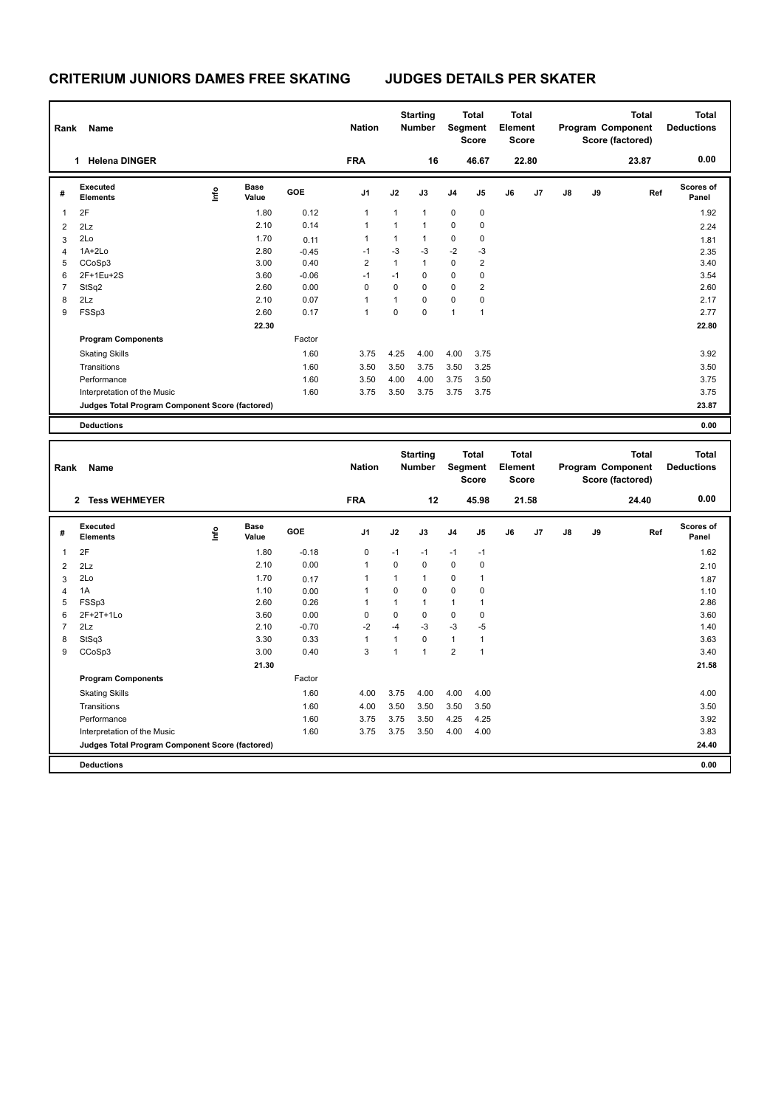| Rank | Name                                            |   | <b>Nation</b>        |         | <b>Starting</b><br><b>Number</b> |              | <b>Total</b><br>Segment<br><b>Score</b> | <b>Total</b><br>Element<br><b>Score</b> |                |    |       | <b>Total</b><br>Program Component<br>Score (factored) | <b>Total</b><br><b>Deductions</b> |       |                           |
|------|-------------------------------------------------|---|----------------------|---------|----------------------------------|--------------|-----------------------------------------|-----------------------------------------|----------------|----|-------|-------------------------------------------------------|-----------------------------------|-------|---------------------------|
|      | <b>Helena DINGER</b><br>1                       |   |                      |         | <b>FRA</b>                       |              | 16                                      |                                         | 46.67          |    | 22.80 |                                                       |                                   | 23.87 | 0.00                      |
| #    | Executed<br><b>Elements</b>                     | ۴ | <b>Base</b><br>Value | GOE     | J <sub>1</sub>                   | J2           | J3                                      | J <sub>4</sub>                          | J5             | J6 | J7    | J8                                                    | J9                                | Ref   | <b>Scores of</b><br>Panel |
| 1    | 2F                                              |   | 1.80                 | 0.12    | $\mathbf{1}$                     | $\mathbf{1}$ | $\mathbf{1}$                            | $\mathbf 0$                             | 0              |    |       |                                                       |                                   |       | 1.92                      |
| 2    | 2Lz                                             |   | 2.10                 | 0.14    | $\mathbf{1}$                     | $\mathbf{1}$ | $\mathbf{1}$                            | $\pmb{0}$                               | 0              |    |       |                                                       |                                   |       | 2.24                      |
| 3    | 2Lo                                             |   | 1.70                 | 0.11    | $\mathbf{1}$                     | 1            | $\mathbf{1}$                            | 0                                       | 0              |    |       |                                                       |                                   |       | 1.81                      |
| 4    | $1A+2Lo$                                        |   | 2.80                 | $-0.45$ | $-1$                             | $-3$         | $-3$                                    | $-2$                                    | $-3$           |    |       |                                                       |                                   |       | 2.35                      |
| 5    | CCoSp3                                          |   | 3.00                 | 0.40    | $\overline{2}$                   | 1            | $\mathbf{1}$                            | $\mathbf 0$                             | $\overline{c}$ |    |       |                                                       |                                   |       | 3.40                      |
| 6    | 2F+1Eu+2S                                       |   | 3.60                 | $-0.06$ | $-1$                             | $-1$         | $\Omega$                                | $\pmb{0}$                               | 0              |    |       |                                                       |                                   |       | 3.54                      |
| 7    | StSq2                                           |   | 2.60                 | 0.00    | $\mathbf 0$                      | $\mathbf 0$  | 0                                       | $\mathbf 0$                             | $\overline{2}$ |    |       |                                                       |                                   |       | 2.60                      |
| 8    | 2Lz                                             |   | 2.10                 | 0.07    | $\mathbf{1}$                     | 1            | $\mathbf 0$                             | $\mathbf 0$                             | 0              |    |       |                                                       |                                   |       | 2.17                      |
| 9    | FSSp3                                           |   | 2.60                 | 0.17    | $\mathbf{1}$                     | 0            | $\pmb{0}$                               | $\overline{1}$                          | 1              |    |       |                                                       |                                   |       | 2.77                      |
|      |                                                 |   | 22.30                |         |                                  |              |                                         |                                         |                |    |       |                                                       |                                   |       | 22.80                     |
|      | <b>Program Components</b>                       |   |                      | Factor  |                                  |              |                                         |                                         |                |    |       |                                                       |                                   |       |                           |
|      | <b>Skating Skills</b>                           |   |                      | 1.60    | 3.75                             | 4.25         | 4.00                                    | 4.00                                    | 3.75           |    |       |                                                       |                                   |       | 3.92                      |
|      | Transitions                                     |   |                      | 1.60    | 3.50                             | 3.50         | 3.75                                    | 3.50                                    | 3.25           |    |       |                                                       |                                   |       | 3.50                      |
|      | Performance                                     |   |                      | 1.60    | 3.50                             | 4.00         | 4.00                                    | 3.75                                    | 3.50           |    |       |                                                       |                                   |       | 3.75                      |
|      | Interpretation of the Music                     |   |                      | 1.60    | 3.75                             | 3.50         | 3.75                                    | 3.75                                    | 3.75           |    |       |                                                       |                                   |       | 3.75                      |
|      | Judges Total Program Component Score (factored) |   |                      |         |                                  |              |                                         |                                         |                |    |       |                                                       |                                   |       | 23.87                     |
|      | <b>Deductions</b>                               |   |                      |         |                                  |              |                                         |                                         |                |    |       |                                                       |                                   |       | 0.00                      |

| Rank           | Name<br><b>Tess WEHMEYER</b><br>$\overline{2}$  |      |                      |            |                |             | <b>Starting</b><br><b>Number</b> | Segment        | <b>Total</b><br><b>Score</b> | <b>Total</b><br>Element<br>Score |       |    |    | <b>Total</b><br>Program Component<br>Score (factored) | <b>Total</b><br><b>Deductions</b> |
|----------------|-------------------------------------------------|------|----------------------|------------|----------------|-------------|----------------------------------|----------------|------------------------------|----------------------------------|-------|----|----|-------------------------------------------------------|-----------------------------------|
|                |                                                 |      |                      |            | <b>FRA</b>     |             | 12                               |                | 45.98                        |                                  | 21.58 |    |    | 24.40                                                 | 0.00                              |
| #              | <b>Executed</b><br><b>Elements</b>              | ١nf٥ | <b>Base</b><br>Value | <b>GOE</b> | J <sub>1</sub> | J2          | J3                               | J <sub>4</sub> | J <sub>5</sub>               | J6                               | J7    | J8 | J9 | Ref                                                   | <b>Scores of</b><br>Panel         |
| 1              | 2F                                              |      | 1.80                 | $-0.18$    | $\mathbf 0$    | $-1$        | $-1$                             | $-1$           | $-1$                         |                                  |       |    |    |                                                       | 1.62                              |
| $\overline{2}$ | 2Lz                                             |      | 2.10                 | 0.00       | $\overline{1}$ | $\mathbf 0$ | $\mathbf 0$                      | $\mathbf 0$    | $\mathbf 0$                  |                                  |       |    |    |                                                       | 2.10                              |
| 3              | 2Lo                                             |      | 1.70                 | 0.17       | 1              | 1           | $\mathbf{1}$                     | $\mathbf 0$    | 1                            |                                  |       |    |    |                                                       | 1.87                              |
| 4              | 1A                                              |      | 1.10                 | 0.00       | 1              | $\Omega$    | $\Omega$                         | $\mathbf 0$    | 0                            |                                  |       |    |    |                                                       | 1.10                              |
| 5              | FSSp3                                           |      | 2.60                 | 0.26       |                |             | 1                                | 1              | 1                            |                                  |       |    |    |                                                       | 2.86                              |
| 6              | 2F+2T+1Lo                                       |      | 3.60                 | 0.00       | 0              | 0           | 0                                | 0              | 0                            |                                  |       |    |    |                                                       | 3.60                              |
| 7              | 2Lz                                             |      | 2.10                 | $-0.70$    | $-2$           | $-4$        | $-3$                             | $-3$           | $-5$                         |                                  |       |    |    |                                                       | 1.40                              |
| 8              | StSq3                                           |      | 3.30                 | 0.33       | 1              |             | $\mathbf 0$                      | $\mathbf{1}$   | 1                            |                                  |       |    |    |                                                       | 3.63                              |
| 9              | CCoSp3                                          |      | 3.00                 | 0.40       | 3              | 1           | $\mathbf{1}$                     | $\overline{2}$ | $\mathbf{1}$                 |                                  |       |    |    |                                                       | 3.40                              |
|                |                                                 |      | 21.30                |            |                |             |                                  |                |                              |                                  |       |    |    |                                                       | 21.58                             |
|                | <b>Program Components</b>                       |      |                      | Factor     |                |             |                                  |                |                              |                                  |       |    |    |                                                       |                                   |
|                | <b>Skating Skills</b>                           |      |                      | 1.60       | 4.00           | 3.75        | 4.00                             | 4.00           | 4.00                         |                                  |       |    |    |                                                       | 4.00                              |
|                | Transitions                                     |      |                      | 1.60       | 4.00           | 3.50        | 3.50                             | 3.50           | 3.50                         |                                  |       |    |    |                                                       | 3.50                              |
|                | Performance                                     |      |                      | 1.60       | 3.75           | 3.75        | 3.50                             | 4.25           | 4.25                         |                                  |       |    |    |                                                       | 3.92                              |
|                | Interpretation of the Music                     |      |                      | 1.60       | 3.75           | 3.75        | 3.50                             | 4.00           | 4.00                         |                                  |       |    |    |                                                       | 3.83                              |
|                | Judges Total Program Component Score (factored) |      |                      |            |                |             |                                  |                |                              |                                  |       |    |    |                                                       | 24.40                             |
|                | <b>Deductions</b>                               |      |                      |            |                |             |                                  |                |                              |                                  |       |    |    |                                                       | 0.00                              |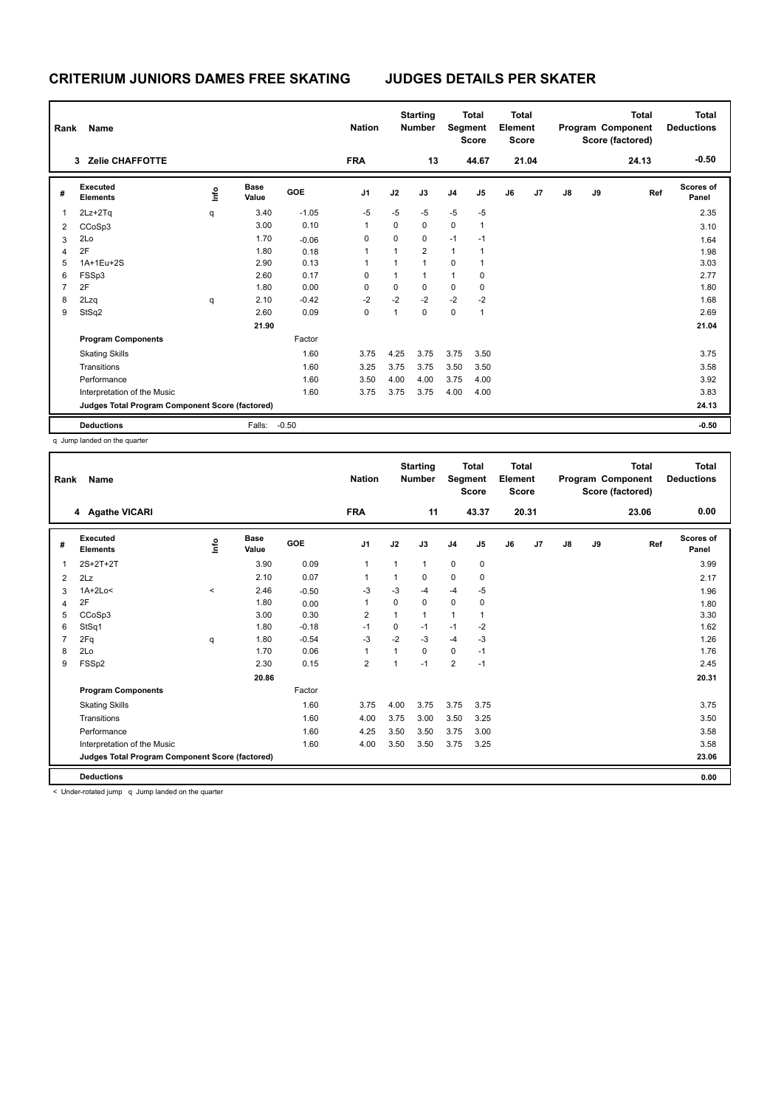| Rank | Name                                            |      |                      |         | <b>Nation</b>  |              | <b>Starting</b><br><b>Number</b> | Segment        | <b>Total</b><br><b>Score</b> | <b>Total</b><br>Element<br><b>Score</b> |       |               |    | Total<br>Program Component<br>Score (factored) | <b>Total</b><br><b>Deductions</b> |
|------|-------------------------------------------------|------|----------------------|---------|----------------|--------------|----------------------------------|----------------|------------------------------|-----------------------------------------|-------|---------------|----|------------------------------------------------|-----------------------------------|
|      | <b>Zelie CHAFFOTTE</b><br>3                     |      |                      |         | <b>FRA</b>     |              | 13                               |                | 44.67                        |                                         | 21.04 |               |    | 24.13                                          | $-0.50$                           |
| #    | Executed<br><b>Elements</b>                     | ١nfo | <b>Base</b><br>Value | GOE     | J <sub>1</sub> | J2           | J3                               | J <sub>4</sub> | J5                           | J6                                      | J7    | $\mathsf{J}8$ | J9 | Ref                                            | <b>Scores of</b><br>Panel         |
| 1    | $2Lz + 2Tq$                                     | q    | 3.40                 | $-1.05$ | $-5$           | $-5$         | $-5$                             | $-5$           | $-5$                         |                                         |       |               |    |                                                | 2.35                              |
| 2    | CCoSp3                                          |      | 3.00                 | 0.10    | 1              | 0            | $\mathbf 0$                      | $\mathbf 0$    | 1                            |                                         |       |               |    |                                                | 3.10                              |
| 3    | 2Lo                                             |      | 1.70                 | $-0.06$ | 0              | 0            | 0                                | $-1$           | $-1$                         |                                         |       |               |    |                                                | 1.64                              |
| 4    | 2F                                              |      | 1.80                 | 0.18    | 1              | 1            | $\overline{2}$                   | $\mathbf{1}$   | 1                            |                                         |       |               |    |                                                | 1.98                              |
| 5    | 1A+1Eu+2S                                       |      | 2.90                 | 0.13    | 1              | 1            | $\overline{1}$                   | $\mathbf 0$    | 1                            |                                         |       |               |    |                                                | 3.03                              |
| 6    | FSSp3                                           |      | 2.60                 | 0.17    | 0              | $\mathbf{1}$ | $\mathbf{1}$                     | $\mathbf{1}$   | 0                            |                                         |       |               |    |                                                | 2.77                              |
| 7    | 2F                                              |      | 1.80                 | 0.00    | 0              | 0            | $\pmb{0}$                        | $\mathbf 0$    | 0                            |                                         |       |               |    |                                                | 1.80                              |
| 8    | 2Lzq                                            | q    | 2.10                 | $-0.42$ | $-2$           | $-2$         | $-2$                             | $-2$           | $-2$                         |                                         |       |               |    |                                                | 1.68                              |
| 9    | StSq2                                           |      | 2.60                 | 0.09    | 0              | $\mathbf{1}$ | $\mathbf 0$                      | $\mathbf 0$    | 1                            |                                         |       |               |    |                                                | 2.69                              |
|      |                                                 |      | 21.90                |         |                |              |                                  |                |                              |                                         |       |               |    |                                                | 21.04                             |
|      | <b>Program Components</b>                       |      |                      | Factor  |                |              |                                  |                |                              |                                         |       |               |    |                                                |                                   |
|      | <b>Skating Skills</b>                           |      |                      | 1.60    | 3.75           | 4.25         | 3.75                             | 3.75           | 3.50                         |                                         |       |               |    |                                                | 3.75                              |
|      | Transitions                                     |      |                      | 1.60    | 3.25           | 3.75         | 3.75                             | 3.50           | 3.50                         |                                         |       |               |    |                                                | 3.58                              |
|      | Performance                                     |      |                      | 1.60    | 3.50           | 4.00         | 4.00                             | 3.75           | 4.00                         |                                         |       |               |    |                                                | 3.92                              |
|      | Interpretation of the Music                     |      |                      | 1.60    | 3.75           | 3.75         | 3.75                             | 4.00           | 4.00                         |                                         |       |               |    |                                                | 3.83                              |
|      | Judges Total Program Component Score (factored) |      |                      |         |                |              |                                  |                |                              |                                         |       |               |    |                                                | 24.13                             |
|      | <b>Deductions</b>                               |      | Falls:               | $-0.50$ |                |              |                                  |                |                              |                                         |       |               |    |                                                | $-0.50$                           |

q Jump landed on the quarter

| Rank | Name                                            |         |                      |         | <b>Nation</b>  |              | <b>Starting</b><br><b>Number</b> | Segment        | <b>Total</b><br><b>Score</b> | <b>Total</b><br>Element<br><b>Score</b> |       |               |    | <b>Total</b><br>Program Component<br>Score (factored) | <b>Total</b><br><b>Deductions</b> |
|------|-------------------------------------------------|---------|----------------------|---------|----------------|--------------|----------------------------------|----------------|------------------------------|-----------------------------------------|-------|---------------|----|-------------------------------------------------------|-----------------------------------|
|      | 4 Agathe VICARI                                 |         |                      |         | <b>FRA</b>     |              | 11                               |                | 43.37                        |                                         | 20.31 |               |    | 23.06                                                 | 0.00                              |
| #    | Executed<br><b>Elements</b>                     | lnfo    | <b>Base</b><br>Value | GOE     | J <sub>1</sub> | J2           | J3                               | J <sub>4</sub> | J5                           | J6                                      | J7    | $\mathsf{J}8$ | J9 | Ref                                                   | <b>Scores of</b><br>Panel         |
| 1    | 2S+2T+2T                                        |         | 3.90                 | 0.09    | $\mathbf{1}$   | $\mathbf{1}$ | 1                                | $\mathbf 0$    | 0                            |                                         |       |               |    |                                                       | 3.99                              |
| 2    | 2Lz                                             |         | 2.10                 | 0.07    | 1              |              | 0                                | 0              | 0                            |                                         |       |               |    |                                                       | 2.17                              |
| 3    | $1A+2Lo<$                                       | $\prec$ | 2.46                 | $-0.50$ | $-3$           | $-3$         | $-4$                             | $-4$           | $-5$                         |                                         |       |               |    |                                                       | 1.96                              |
| 4    | 2F                                              |         | 1.80                 | 0.00    | 1              | 0            | 0                                | $\mathbf 0$    | 0                            |                                         |       |               |    |                                                       | 1.80                              |
| 5    | CCoSp3                                          |         | 3.00                 | 0.30    | 2              | 1            | 1                                | 1              | 1                            |                                         |       |               |    |                                                       | 3.30                              |
| 6    | StSq1                                           |         | 1.80                 | $-0.18$ | $-1$           | 0            | $-1$                             | $-1$           | $-2$                         |                                         |       |               |    |                                                       | 1.62                              |
| 7    | 2Fq                                             | q       | 1.80                 | $-0.54$ | $-3$           | $-2$         | $-3$                             | $-4$           | $-3$                         |                                         |       |               |    |                                                       | 1.26                              |
| 8    | 2Lo                                             |         | 1.70                 | 0.06    | 1              | 1            | 0                                | $\mathbf 0$    | $-1$                         |                                         |       |               |    |                                                       | 1.76                              |
| 9    | FSSp2                                           |         | 2.30                 | 0.15    | $\overline{2}$ | 1            | $-1$                             | $\overline{2}$ | $-1$                         |                                         |       |               |    |                                                       | 2.45                              |
|      |                                                 |         | 20.86                |         |                |              |                                  |                |                              |                                         |       |               |    |                                                       | 20.31                             |
|      | <b>Program Components</b>                       |         |                      | Factor  |                |              |                                  |                |                              |                                         |       |               |    |                                                       |                                   |
|      | <b>Skating Skills</b>                           |         |                      | 1.60    | 3.75           | 4.00         | 3.75                             | 3.75           | 3.75                         |                                         |       |               |    |                                                       | 3.75                              |
|      | Transitions                                     |         |                      | 1.60    | 4.00           | 3.75         | 3.00                             | 3.50           | 3.25                         |                                         |       |               |    |                                                       | 3.50                              |
|      | Performance                                     |         |                      | 1.60    | 4.25           | 3.50         | 3.50                             | 3.75           | 3.00                         |                                         |       |               |    |                                                       | 3.58                              |
|      | Interpretation of the Music                     |         |                      | 1.60    | 4.00           | 3.50         | 3.50                             | 3.75           | 3.25                         |                                         |       |               |    |                                                       | 3.58                              |
|      | Judges Total Program Component Score (factored) |         |                      |         |                |              |                                  |                |                              |                                         |       |               |    |                                                       | 23.06                             |
|      | <b>Deductions</b>                               |         |                      |         |                |              |                                  |                |                              |                                         |       |               |    |                                                       | 0.00                              |

< Under-rotated jump q Jump landed on the quarter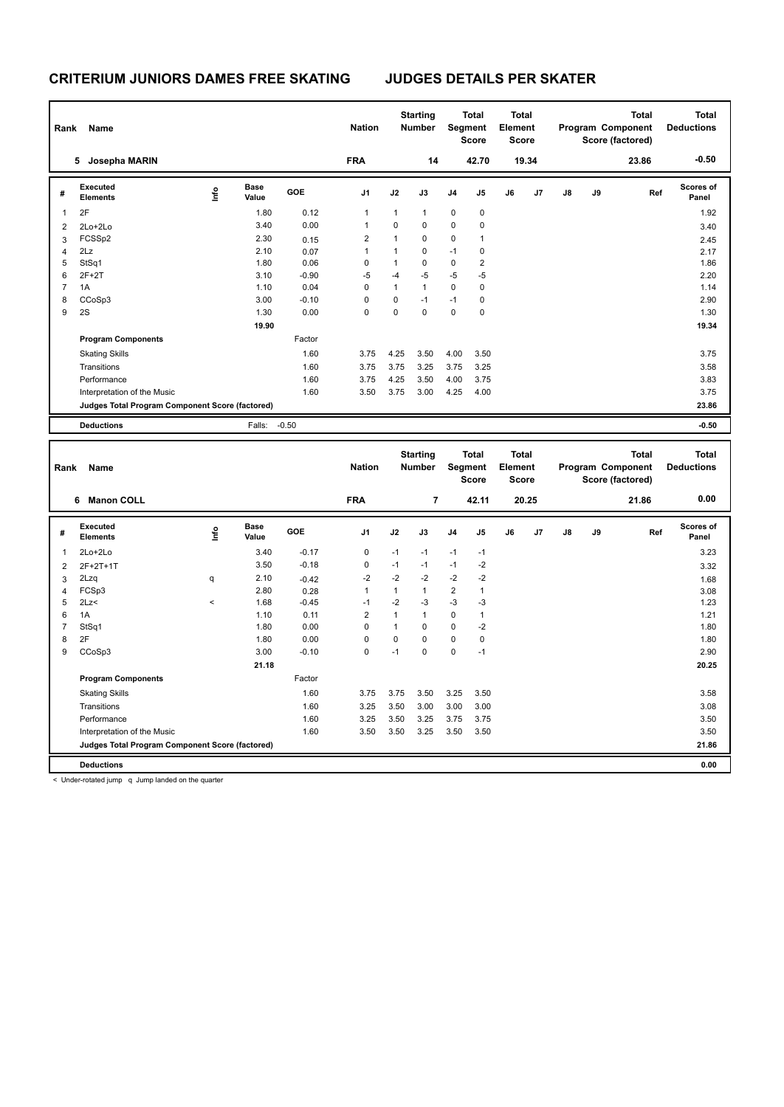| Rank           | Name                                            |      |                      |         | <b>Nation</b>  |              | <b>Starting</b><br><b>Number</b> |                | <b>Total</b><br>Segment<br><b>Score</b> | Total<br>Element<br><b>Score</b>        |       |    |    | <b>Total</b><br>Program Component<br>Score (factored) | <b>Total</b><br><b>Deductions</b> |
|----------------|-------------------------------------------------|------|----------------------|---------|----------------|--------------|----------------------------------|----------------|-----------------------------------------|-----------------------------------------|-------|----|----|-------------------------------------------------------|-----------------------------------|
|                | Josepha MARIN<br>5.                             |      |                      |         | <b>FRA</b>     |              | 14                               |                | 42.70                                   |                                         | 19.34 |    |    | 23.86                                                 | $-0.50$                           |
| #              | Executed<br><b>Elements</b>                     | lnfo | <b>Base</b><br>Value | GOE     | J <sub>1</sub> | J2           | J3                               | J <sub>4</sub> | J5                                      | J6                                      | J7    | J8 | J9 | Ref                                                   | Scores of<br>Panel                |
| -1             | 2F                                              |      | 1.80                 | 0.12    | $\mathbf{1}$   | $\mathbf{1}$ | $\mathbf{1}$                     | $\pmb{0}$      | $\mathbf 0$                             |                                         |       |    |    |                                                       | 1.92                              |
| $\overline{2}$ | 2Lo+2Lo                                         |      | 3.40                 | 0.00    | $\mathbf{1}$   | $\mathbf 0$  | $\Omega$                         | $\mathbf 0$    | $\mathbf 0$                             |                                         |       |    |    |                                                       | 3.40                              |
| 3              | FCSSp2                                          |      | 2.30                 | 0.15    | $\overline{2}$ | $\mathbf{1}$ | $\Omega$                         | $\mathbf 0$    | $\mathbf{1}$                            |                                         |       |    |    |                                                       | 2.45                              |
| $\overline{4}$ | 2Lz                                             |      | 2.10                 | 0.07    | 1              | 1            | $\Omega$                         | $-1$           | 0                                       |                                         |       |    |    |                                                       | 2.17                              |
| 5              | StSq1                                           |      | 1.80                 | 0.06    | 0              | 1            | $\Omega$                         | $\mathbf 0$    | $\overline{2}$                          |                                         |       |    |    |                                                       | 1.86                              |
| 6              | $2F+2T$                                         |      | 3.10                 | $-0.90$ | $-5$           | $-4$         | $-5$                             | $-5$           | $-5$                                    |                                         |       |    |    |                                                       | 2.20                              |
| $\overline{7}$ | 1A                                              |      | 1.10                 | 0.04    | $\Omega$       | $\mathbf{1}$ | $\mathbf{1}$                     | $\mathbf 0$    | $\mathbf 0$                             |                                         |       |    |    |                                                       | 1.14                              |
| 8              | CCoSp3                                          |      | 3.00                 | $-0.10$ | 0              | $\mathbf 0$  | $-1$                             | $-1$           | 0                                       |                                         |       |    |    |                                                       | 2.90                              |
| 9              | 2S                                              |      | 1.30                 | 0.00    | $\Omega$       | $\Omega$     | $\Omega$                         | $\mathbf 0$    | $\Omega$                                |                                         |       |    |    |                                                       | 1.30                              |
|                |                                                 |      | 19.90                |         |                |              |                                  |                |                                         |                                         |       |    |    |                                                       | 19.34                             |
|                | <b>Program Components</b>                       |      |                      | Factor  |                |              |                                  |                |                                         |                                         |       |    |    |                                                       |                                   |
|                | <b>Skating Skills</b>                           |      |                      | 1.60    | 3.75           | 4.25         | 3.50                             | 4.00           | 3.50                                    |                                         |       |    |    |                                                       | 3.75                              |
|                | Transitions                                     |      |                      | 1.60    | 3.75           | 3.75         | 3.25                             | 3.75           | 3.25                                    |                                         |       |    |    |                                                       | 3.58                              |
|                | Performance                                     |      |                      | 1.60    | 3.75           | 4.25         | 3.50                             | 4.00           | 3.75                                    |                                         |       |    |    |                                                       | 3.83                              |
|                | Interpretation of the Music                     |      |                      | 1.60    | 3.50           | 3.75         | 3.00                             | 4.25           | 4.00                                    |                                         |       |    |    |                                                       | 3.75                              |
|                | Judges Total Program Component Score (factored) |      |                      |         |                |              |                                  |                |                                         |                                         |       |    |    |                                                       | 23.86                             |
|                | <b>Deductions</b>                               |      | Falls:               | $-0.50$ |                |              |                                  |                |                                         |                                         |       |    |    |                                                       | $-0.50$                           |
|                |                                                 |      |                      |         |                |              |                                  |                |                                         |                                         |       |    |    |                                                       |                                   |
| Rank           | Name                                            |      |                      |         | <b>Nation</b>  |              | <b>Starting</b><br><b>Number</b> |                | <b>Total</b><br>Segment<br><b>Score</b> | <b>Total</b><br>Element<br><b>Score</b> |       |    |    | <b>Total</b><br>Program Component<br>Score (factored) | <b>Total</b><br><b>Deductions</b> |
|                | <b>Manon COLL</b><br>6                          |      |                      |         | <b>FRA</b>     |              | $\overline{7}$                   |                | 42.11                                   | 20.25                                   |       |    |    | 21.86                                                 | 0.00                              |

|   | <b>Manon COLL</b><br>6                          |         |                      |         | <b>FRA</b>     |              | $\overline{7}$ |                | 42.11 |    | 20.25 |    |    | 21.86 | 0.00                      |
|---|-------------------------------------------------|---------|----------------------|---------|----------------|--------------|----------------|----------------|-------|----|-------|----|----|-------|---------------------------|
| # | Executed<br><b>Elements</b>                     | ١nfo    | <b>Base</b><br>Value | GOE     | J <sub>1</sub> | J2           | J3             | J <sub>4</sub> | J5    | J6 | J7    | J8 | J9 | Ref   | <b>Scores of</b><br>Panel |
| 1 | $2Lo+2Lo$                                       |         | 3.40                 | $-0.17$ | 0              | $-1$         | $-1$           | $-1$           | $-1$  |    |       |    |    |       | 3.23                      |
| 2 | 2F+2T+1T                                        |         | 3.50                 | $-0.18$ | 0              | $-1$         | $-1$           | $-1$           | $-2$  |    |       |    |    |       | 3.32                      |
| 3 | 2Lzq                                            | q       | 2.10                 | $-0.42$ | $-2$           | $-2$         | $-2$           | $-2$           | $-2$  |    |       |    |    |       | 1.68                      |
| 4 | FCSp3                                           |         | 2.80                 | 0.28    | 1              | $\mathbf{1}$ | $\overline{1}$ | $\overline{2}$ | 1     |    |       |    |    |       | 3.08                      |
| 5 | 2Lz                                             | $\prec$ | 1.68                 | $-0.45$ | $-1$           | $-2$         | -3             | $-3$           | $-3$  |    |       |    |    |       | 1.23                      |
| 6 | 1A                                              |         | 1.10                 | 0.11    | 2              | 1            | $\overline{1}$ | 0              | 1     |    |       |    |    |       | 1.21                      |
|   | StSq1                                           |         | 1.80                 | 0.00    | $\Omega$       | 1            | 0              | $\mathbf 0$    | $-2$  |    |       |    |    |       | 1.80                      |
| 8 | 2F                                              |         | 1.80                 | 0.00    | $\Omega$       | 0            | 0              | $\mathbf 0$    | 0     |    |       |    |    |       | 1.80                      |
| 9 | CCoSp3                                          |         | 3.00                 | $-0.10$ | 0              | $-1$         | $\mathbf 0$    | $\mathbf 0$    | $-1$  |    |       |    |    |       | 2.90                      |
|   |                                                 |         | 21.18                |         |                |              |                |                |       |    |       |    |    |       | 20.25                     |
|   | <b>Program Components</b>                       |         |                      | Factor  |                |              |                |                |       |    |       |    |    |       |                           |
|   | <b>Skating Skills</b>                           |         |                      | 1.60    | 3.75           | 3.75         | 3.50           | 3.25           | 3.50  |    |       |    |    |       | 3.58                      |
|   | Transitions                                     |         |                      | 1.60    | 3.25           | 3.50         | 3.00           | 3.00           | 3.00  |    |       |    |    |       | 3.08                      |
|   | Performance                                     |         |                      | 1.60    | 3.25           | 3.50         | 3.25           | 3.75           | 3.75  |    |       |    |    |       | 3.50                      |
|   | Interpretation of the Music                     |         |                      | 1.60    | 3.50           | 3.50         | 3.25           | 3.50           | 3.50  |    |       |    |    |       | 3.50                      |
|   | Judges Total Program Component Score (factored) |         |                      |         |                |              |                |                |       |    |       |    |    |       | 21.86                     |
|   | <b>Deductions</b>                               |         |                      |         |                |              |                |                |       |    |       |    |    |       | 0.00                      |

< Under-rotated jump q Jump landed on the quarter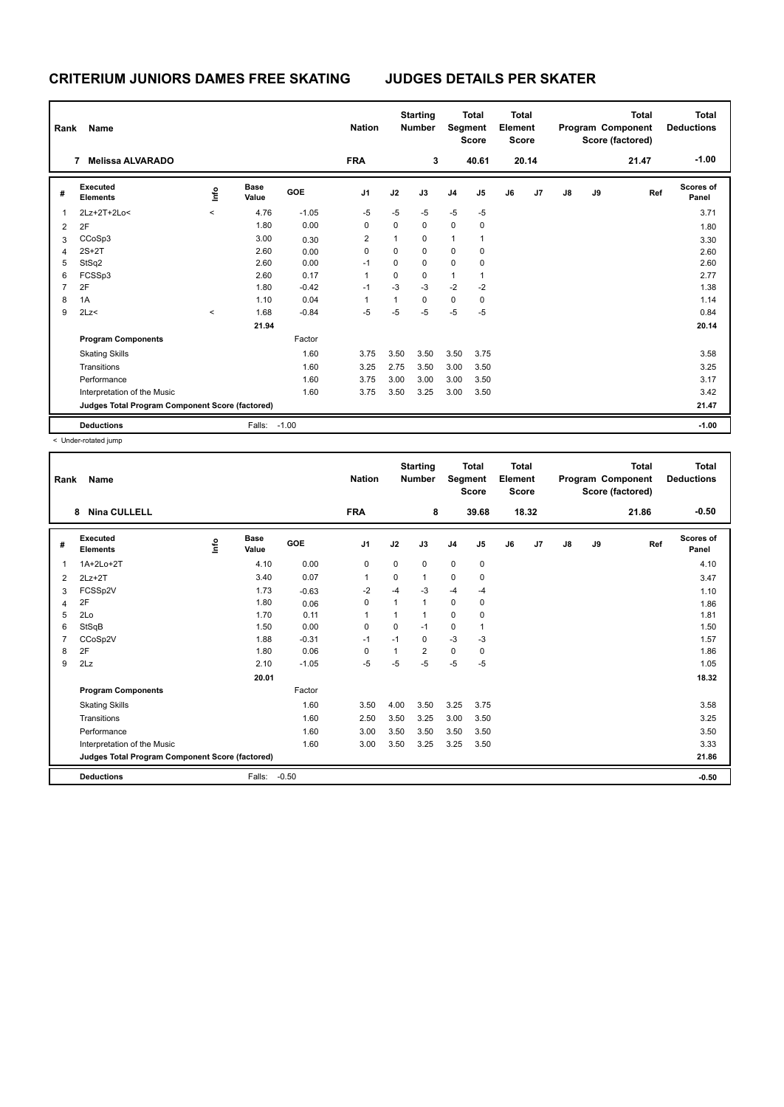| Rank | Name                                            |         |                      |            | <b>Nation</b>  |              | <b>Starting</b><br><b>Number</b> |                | <b>Total</b><br>Segment<br><b>Score</b> | <b>Total</b><br>Element<br><b>Score</b> |       |               |    | Total<br>Program Component<br>Score (factored) | <b>Total</b><br><b>Deductions</b> |
|------|-------------------------------------------------|---------|----------------------|------------|----------------|--------------|----------------------------------|----------------|-----------------------------------------|-----------------------------------------|-------|---------------|----|------------------------------------------------|-----------------------------------|
|      | <b>Melissa ALVARADO</b><br>7                    |         |                      |            | <b>FRA</b>     |              | 3                                |                | 40.61                                   |                                         | 20.14 |               |    | 21.47                                          | $-1.00$                           |
| #    | Executed<br><b>Elements</b>                     | ١nfo    | <b>Base</b><br>Value | <b>GOE</b> | J <sub>1</sub> | J2           | J3                               | J <sub>4</sub> | J5                                      | J6                                      | J7    | $\mathsf{J}8$ | J9 | Ref                                            | <b>Scores of</b><br>Panel         |
| 1    | 2Lz+2T+2Lo<                                     | $\prec$ | 4.76                 | $-1.05$    | $-5$           | $-5$         | $-5$                             | $-5$           | $-5$                                    |                                         |       |               |    |                                                | 3.71                              |
| 2    | 2F                                              |         | 1.80                 | 0.00       | 0              | 0            | $\mathbf 0$                      | $\mathbf 0$    | 0                                       |                                         |       |               |    |                                                | 1.80                              |
| 3    | CCoSp3                                          |         | 3.00                 | 0.30       | 2              | $\mathbf{1}$ | 0                                | $\mathbf{1}$   | 1                                       |                                         |       |               |    |                                                | 3.30                              |
| 4    | $2S+2T$                                         |         | 2.60                 | 0.00       | 0              | 0            | $\Omega$                         | 0              | 0                                       |                                         |       |               |    |                                                | 2.60                              |
| 5    | StSq2                                           |         | 2.60                 | 0.00       | $-1$           | 0            | 0                                | $\mathbf 0$    | 0                                       |                                         |       |               |    |                                                | 2.60                              |
| 6    | FCSSp3                                          |         | 2.60                 | 0.17       | 1              | 0            | $\mathbf 0$                      | $\mathbf{1}$   | 1                                       |                                         |       |               |    |                                                | 2.77                              |
| 7    | 2F                                              |         | 1.80                 | $-0.42$    | $-1$           | -3           | $-3$                             | $-2$           | $-2$                                    |                                         |       |               |    |                                                | 1.38                              |
| 8    | 1A                                              |         | 1.10                 | 0.04       | 1              | $\mathbf{1}$ | $\Omega$                         | 0              | 0                                       |                                         |       |               |    |                                                | 1.14                              |
| 9    | 2Lz                                             | $\,<\,$ | 1.68                 | $-0.84$    | $-5$           | $-5$         | $-5$                             | $-5$           | $-5$                                    |                                         |       |               |    |                                                | 0.84                              |
|      |                                                 |         | 21.94                |            |                |              |                                  |                |                                         |                                         |       |               |    |                                                | 20.14                             |
|      | <b>Program Components</b>                       |         |                      | Factor     |                |              |                                  |                |                                         |                                         |       |               |    |                                                |                                   |
|      | <b>Skating Skills</b>                           |         |                      | 1.60       | 3.75           | 3.50         | 3.50                             | 3.50           | 3.75                                    |                                         |       |               |    |                                                | 3.58                              |
|      | Transitions                                     |         |                      | 1.60       | 3.25           | 2.75         | 3.50                             | 3.00           | 3.50                                    |                                         |       |               |    |                                                | 3.25                              |
|      | Performance                                     |         |                      | 1.60       | 3.75           | 3.00         | 3.00                             | 3.00           | 3.50                                    |                                         |       |               |    |                                                | 3.17                              |
|      | Interpretation of the Music                     |         |                      | 1.60       | 3.75           | 3.50         | 3.25                             | 3.00           | 3.50                                    |                                         |       |               |    |                                                | 3.42                              |
|      | Judges Total Program Component Score (factored) |         |                      |            |                |              |                                  |                |                                         |                                         |       |               |    |                                                | 21.47                             |
|      | <b>Deductions</b>                               |         | Falls:               | $-1.00$    |                |              |                                  |                |                                         |                                         |       |               |    |                                                | $-1.00$                           |

< Under-rotated jump

| Rank | <b>Name</b>                                     |    |                      |         | <b>Nation</b>  |          | <b>Starting</b><br><b>Number</b> | Segment        | <b>Total</b><br><b>Score</b> | <b>Total</b><br>Element<br><b>Score</b> |       |               |    | <b>Total</b><br>Program Component<br>Score (factored) | <b>Total</b><br><b>Deductions</b> |
|------|-------------------------------------------------|----|----------------------|---------|----------------|----------|----------------------------------|----------------|------------------------------|-----------------------------------------|-------|---------------|----|-------------------------------------------------------|-----------------------------------|
|      | <b>Nina CULLELL</b><br>8                        |    |                      |         | <b>FRA</b>     |          | 8                                |                | 39.68                        |                                         | 18.32 |               |    | 21.86                                                 | $-0.50$                           |
| #    | Executed<br><b>Elements</b>                     | ۴ů | <b>Base</b><br>Value | GOE     | J <sub>1</sub> | J2       | J3                               | J <sub>4</sub> | J5                           | J6                                      | J7    | $\mathsf{J}8$ | J9 | Ref                                                   | Scores of<br>Panel                |
| 1    | 1A+2Lo+2T                                       |    | 4.10                 | 0.00    | 0              | 0        | 0                                | 0              | 0                            |                                         |       |               |    |                                                       | 4.10                              |
| 2    | $2Lz+2T$                                        |    | 3.40                 | 0.07    | $\mathbf{1}$   | 0        | 1                                | 0              | 0                            |                                         |       |               |    |                                                       | 3.47                              |
| 3    | FCSSp2V                                         |    | 1.73                 | $-0.63$ | $-2$           | $-4$     | $-3$                             | -4             | $-4$                         |                                         |       |               |    |                                                       | 1.10                              |
| 4    | 2F                                              |    | 1.80                 | 0.06    | 0              | 1        | 1                                | 0              | 0                            |                                         |       |               |    |                                                       | 1.86                              |
| 5    | 2Lo                                             |    | 1.70                 | 0.11    | 1              | 1        | 1                                | $\mathbf 0$    | 0                            |                                         |       |               |    |                                                       | 1.81                              |
| 6    | StSqB                                           |    | 1.50                 | 0.00    | $\mathbf 0$    | $\Omega$ | $-1$                             | $\mathbf 0$    |                              |                                         |       |               |    |                                                       | 1.50                              |
|      | CCoSp2V                                         |    | 1.88                 | $-0.31$ | $-1$           | $-1$     | $\mathbf 0$                      | $-3$           | $-3$                         |                                         |       |               |    |                                                       | 1.57                              |
| 8    | 2F                                              |    | 1.80                 | 0.06    | 0              |          | 2                                | 0              | 0                            |                                         |       |               |    |                                                       | 1.86                              |
| 9    | 2Lz                                             |    | 2.10                 | $-1.05$ | $-5$           | $-5$     | $-5$                             | $-5$           | $-5$                         |                                         |       |               |    |                                                       | 1.05                              |
|      |                                                 |    | 20.01                |         |                |          |                                  |                |                              |                                         |       |               |    |                                                       | 18.32                             |
|      | <b>Program Components</b>                       |    |                      | Factor  |                |          |                                  |                |                              |                                         |       |               |    |                                                       |                                   |
|      | <b>Skating Skills</b>                           |    |                      | 1.60    | 3.50           | 4.00     | 3.50                             | 3.25           | 3.75                         |                                         |       |               |    |                                                       | 3.58                              |
|      | Transitions                                     |    |                      | 1.60    | 2.50           | 3.50     | 3.25                             | 3.00           | 3.50                         |                                         |       |               |    |                                                       | 3.25                              |
|      | Performance                                     |    |                      | 1.60    | 3.00           | 3.50     | 3.50                             | 3.50           | 3.50                         |                                         |       |               |    |                                                       | 3.50                              |
|      | Interpretation of the Music                     |    |                      | 1.60    | 3.00           | 3.50     | 3.25                             | 3.25           | 3.50                         |                                         |       |               |    |                                                       | 3.33                              |
|      | Judges Total Program Component Score (factored) |    |                      |         |                |          |                                  |                |                              |                                         |       |               |    |                                                       | 21.86                             |
|      | <b>Deductions</b>                               |    | Falls:               | $-0.50$ |                |          |                                  |                |                              |                                         |       |               |    |                                                       | $-0.50$                           |
|      |                                                 |    |                      |         |                |          |                                  |                |                              |                                         |       |               |    |                                                       |                                   |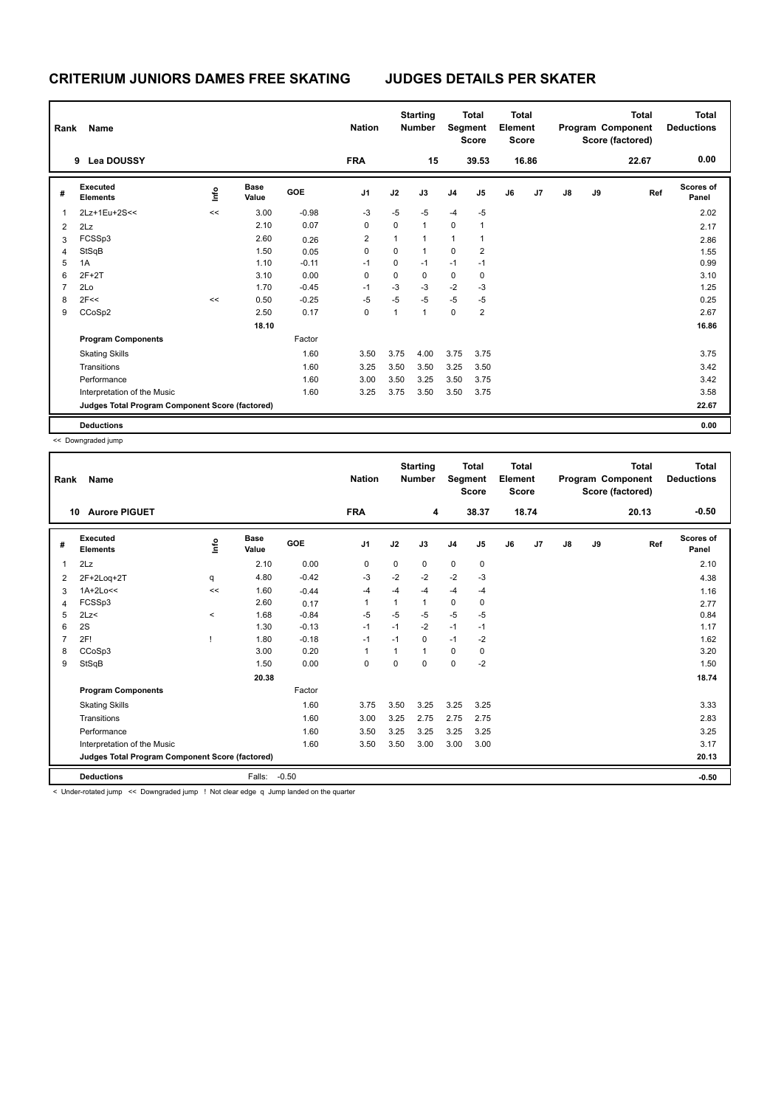| Rank | Name                                            |      |                      |         | <b>Nation</b>  |              | <b>Starting</b><br><b>Number</b> |                | <b>Total</b><br>Segment<br><b>Score</b> | <b>Total</b><br>Element<br><b>Score</b> |       |    |    | Total<br>Program Component<br>Score (factored) | <b>Total</b><br><b>Deductions</b> |
|------|-------------------------------------------------|------|----------------------|---------|----------------|--------------|----------------------------------|----------------|-----------------------------------------|-----------------------------------------|-------|----|----|------------------------------------------------|-----------------------------------|
|      | <b>Lea DOUSSY</b><br>9                          |      |                      |         | <b>FRA</b>     |              | 15                               |                | 39.53                                   |                                         | 16.86 |    |    | 22.67                                          | 0.00                              |
| #    | Executed<br><b>Elements</b>                     | ١nfo | <b>Base</b><br>Value | GOE     | J <sub>1</sub> | J2           | J3                               | J <sub>4</sub> | J5                                      | J6                                      | J7    | J8 | J9 | Ref                                            | <b>Scores of</b><br>Panel         |
| 1    | 2Lz+1Eu+2S<<                                    | <<   | 3.00                 | $-0.98$ | $-3$           | $-5$         | $-5$                             | $-4$           | $-5$                                    |                                         |       |    |    |                                                | 2.02                              |
| 2    | 2Lz                                             |      | 2.10                 | 0.07    | 0              | 0            | $\overline{1}$                   | $\mathbf 0$    | 1                                       |                                         |       |    |    |                                                | 2.17                              |
| 3    | FCSSp3                                          |      | 2.60                 | 0.26    | $\overline{2}$ | $\mathbf{1}$ | $\overline{1}$                   | $\mathbf{1}$   | 1                                       |                                         |       |    |    |                                                | 2.86                              |
| 4    | StSqB                                           |      | 1.50                 | 0.05    | 0              | 0            | $\mathbf{1}$                     | $\mathbf 0$    | 2                                       |                                         |       |    |    |                                                | 1.55                              |
| 5    | 1A                                              |      | 1.10                 | $-0.11$ | $-1$           | 0            | $-1$                             | $-1$           | $-1$                                    |                                         |       |    |    |                                                | 0.99                              |
| 6    | $2F+2T$                                         |      | 3.10                 | 0.00    | 0              | 0            | 0                                | $\mathbf 0$    | 0                                       |                                         |       |    |    |                                                | 3.10                              |
| 7    | 2Lo                                             |      | 1.70                 | $-0.45$ | $-1$           | $-3$         | -3                               | $-2$           | $-3$                                    |                                         |       |    |    |                                                | 1.25                              |
| 8    | 2F<<                                            | <<   | 0.50                 | $-0.25$ | $-5$           | $-5$         | $-5$                             | $-5$           | $-5$                                    |                                         |       |    |    |                                                | 0.25                              |
| 9    | CCoSp2                                          |      | 2.50                 | 0.17    | 0              | 1            | $\overline{1}$                   | $\mathbf 0$    | 2                                       |                                         |       |    |    |                                                | 2.67                              |
|      |                                                 |      | 18.10                |         |                |              |                                  |                |                                         |                                         |       |    |    |                                                | 16.86                             |
|      | <b>Program Components</b>                       |      |                      | Factor  |                |              |                                  |                |                                         |                                         |       |    |    |                                                |                                   |
|      | <b>Skating Skills</b>                           |      |                      | 1.60    | 3.50           | 3.75         | 4.00                             | 3.75           | 3.75                                    |                                         |       |    |    |                                                | 3.75                              |
|      | Transitions                                     |      |                      | 1.60    | 3.25           | 3.50         | 3.50                             | 3.25           | 3.50                                    |                                         |       |    |    |                                                | 3.42                              |
|      | Performance                                     |      |                      | 1.60    | 3.00           | 3.50         | 3.25                             | 3.50           | 3.75                                    |                                         |       |    |    |                                                | 3.42                              |
|      | Interpretation of the Music                     |      |                      | 1.60    | 3.25           | 3.75         | 3.50                             | 3.50           | 3.75                                    |                                         |       |    |    |                                                | 3.58                              |
|      | Judges Total Program Component Score (factored) |      |                      |         |                |              |                                  |                |                                         |                                         |       |    |    |                                                | 22.67                             |
|      | <b>Deductions</b>                               |      |                      |         |                |              |                                  |                |                                         |                                         |       |    |    |                                                | 0.00                              |

<< Downgraded jump

| Rank | Name                                                                                 |       |                      |         | <b>Nation</b>  |          | <b>Starting</b><br><b>Number</b> | Segment        | <b>Total</b><br><b>Score</b> | <b>Total</b><br>Element<br><b>Score</b> |       |               |    | <b>Total</b><br>Program Component<br>Score (factored) | <b>Total</b><br><b>Deductions</b> |
|------|--------------------------------------------------------------------------------------|-------|----------------------|---------|----------------|----------|----------------------------------|----------------|------------------------------|-----------------------------------------|-------|---------------|----|-------------------------------------------------------|-----------------------------------|
| 10   | <b>Aurore PIGUET</b>                                                                 |       |                      |         | <b>FRA</b>     |          | 4                                |                | 38.37                        |                                         | 18.74 |               |    | 20.13                                                 | $-0.50$                           |
| #    | Executed<br><b>Elements</b>                                                          | ١in   | <b>Base</b><br>Value | GOE     | J <sub>1</sub> | J2       | J3                               | J <sub>4</sub> | J5                           | J6                                      | J7    | $\mathsf{J}8$ | J9 | Ref                                                   | <b>Scores of</b><br>Panel         |
| 1    | 2Lz                                                                                  |       | 2.10                 | 0.00    | 0              | 0        | 0                                | $\pmb{0}$      | 0                            |                                         |       |               |    |                                                       | 2.10                              |
| 2    | 2F+2Loq+2T                                                                           | q     | 4.80                 | $-0.42$ | -3             | $-2$     | $-2$                             | $-2$           | $-3$                         |                                         |       |               |    |                                                       | 4.38                              |
| 3    | $1A+2Lo<<$                                                                           | <<    | 1.60                 | $-0.44$ | $-4$           | $-4$     | $-4$                             | $-4$           | $-4$                         |                                         |       |               |    |                                                       | 1.16                              |
| 4    | FCSSp3                                                                               |       | 2.60                 | 0.17    | 1              | 1        | 1                                | $\pmb{0}$      | 0                            |                                         |       |               |    |                                                       | 2.77                              |
| 5    | 2Lz                                                                                  | $\,<$ | 1.68                 | $-0.84$ | -5             | $-5$     | -5                               | -5             | -5                           |                                         |       |               |    |                                                       | 0.84                              |
| 6    | 2S                                                                                   |       | 1.30                 | $-0.13$ | $-1$           | $-1$     | $-2$                             | $-1$           | $-1$                         |                                         |       |               |    |                                                       | 1.17                              |
|      | 2F!                                                                                  |       | 1.80                 | $-0.18$ | $-1$           | $-1$     | 0                                | $-1$           | $-2$                         |                                         |       |               |    |                                                       | 1.62                              |
| 8    | CCoSp3                                                                               |       | 3.00                 | 0.20    | 1              |          | $\overline{1}$                   | 0              | 0                            |                                         |       |               |    |                                                       | 3.20                              |
| 9    | StSqB                                                                                |       | 1.50                 | 0.00    | $\mathbf 0$    | $\Omega$ | 0                                | $\mathbf 0$    | $-2$                         |                                         |       |               |    |                                                       | 1.50                              |
|      |                                                                                      |       | 20.38                |         |                |          |                                  |                |                              |                                         |       |               |    |                                                       | 18.74                             |
|      | <b>Program Components</b>                                                            |       |                      | Factor  |                |          |                                  |                |                              |                                         |       |               |    |                                                       |                                   |
|      | <b>Skating Skills</b>                                                                |       |                      | 1.60    | 3.75           | 3.50     | 3.25                             | 3.25           | 3.25                         |                                         |       |               |    |                                                       | 3.33                              |
|      | Transitions                                                                          |       |                      | 1.60    | 3.00           | 3.25     | 2.75                             | 2.75           | 2.75                         |                                         |       |               |    |                                                       | 2.83                              |
|      | Performance                                                                          |       |                      | 1.60    | 3.50           | 3.25     | 3.25                             | 3.25           | 3.25                         |                                         |       |               |    |                                                       | 3.25                              |
|      | Interpretation of the Music                                                          |       |                      | 1.60    | 3.50           | 3.50     | 3.00                             | 3.00           | 3.00                         |                                         |       |               |    |                                                       | 3.17                              |
|      | Judges Total Program Component Score (factored)                                      |       |                      |         |                |          |                                  |                |                              |                                         |       |               |    |                                                       | 20.13                             |
|      | <b>Deductions</b>                                                                    |       | Falls:               | $-0.50$ |                |          |                                  |                |                              |                                         |       |               |    |                                                       | $-0.50$                           |
|      | Linder-rotated jump << Downgraded jump   Not clear edge a lump landed on the quarter |       |                      |         |                |          |                                  |                |                              |                                         |       |               |    |                                                       |                                   |

nder-rotated jump << Downgraded jump ! Not clear edge q Jump landed on the qu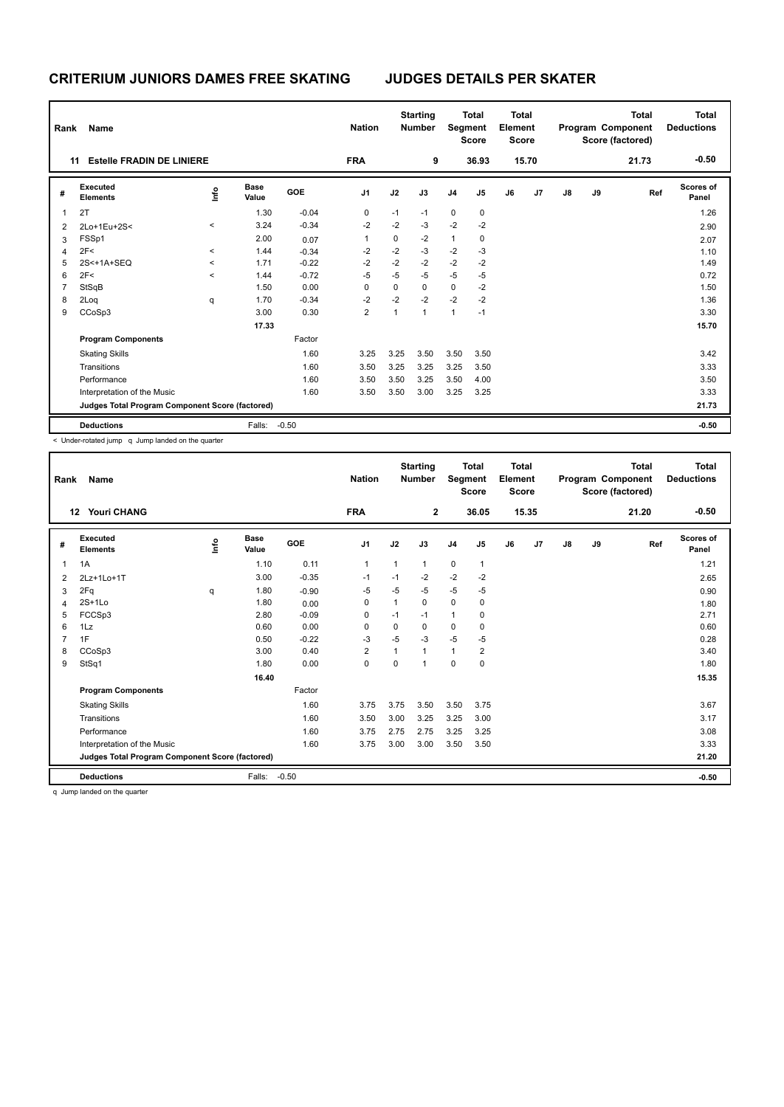| Rank | Name                                            |              | <b>Nation</b>        |            | <b>Starting</b><br><b>Number</b> | Segment      | <b>Total</b><br><b>Score</b> | <b>Total</b><br>Element<br><b>Score</b> |       |    |       | <b>Total</b><br>Program Component<br>Score (factored) | Total<br><b>Deductions</b> |       |                           |
|------|-------------------------------------------------|--------------|----------------------|------------|----------------------------------|--------------|------------------------------|-----------------------------------------|-------|----|-------|-------------------------------------------------------|----------------------------|-------|---------------------------|
| 11   | <b>Estelle FRADIN DE LINIERE</b>                |              |                      |            | <b>FRA</b>                       |              | 9                            |                                         | 36.93 |    | 15.70 |                                                       |                            | 21.73 | $-0.50$                   |
| #    | Executed<br><b>Elements</b>                     | ١nfo         | <b>Base</b><br>Value | <b>GOE</b> | J <sub>1</sub>                   | J2           | J3                           | J <sub>4</sub>                          | J5    | J6 | J7    | $\mathsf{J}8$                                         | J9                         | Ref   | <b>Scores of</b><br>Panel |
| 1    | 2T                                              |              | 1.30                 | $-0.04$    | 0                                | $-1$         | $-1$                         | $\mathbf 0$                             | 0     |    |       |                                                       |                            |       | 1.26                      |
| 2    | 2Lo+1Eu+2S<                                     | $\prec$      | 3.24                 | $-0.34$    | $-2$                             | $-2$         | $-3$                         | $-2$                                    | $-2$  |    |       |                                                       |                            |       | 2.90                      |
| 3    | FSSp1                                           |              | 2.00                 | 0.07       | 1                                | 0            | $-2$                         | $\mathbf{1}$                            | 0     |    |       |                                                       |                            |       | 2.07                      |
| 4    | 2F<                                             | $\checkmark$ | 1.44                 | $-0.34$    | $-2$                             | $-2$         | $-3$                         | $-2$                                    | $-3$  |    |       |                                                       |                            |       | 1.10                      |
| 5    | 2S<+1A+SEQ                                      | $\checkmark$ | 1.71                 | $-0.22$    | $-2$                             | $-2$         | $-2$                         | $-2$                                    | $-2$  |    |       |                                                       |                            |       | 1.49                      |
| 6    | 2F<                                             | $\prec$      | 1.44                 | $-0.72$    | $-5$                             | $-5$         | $-5$                         | $-5$                                    | $-5$  |    |       |                                                       |                            |       | 0.72                      |
|      | StSqB                                           |              | 1.50                 | 0.00       | 0                                | 0            | $\mathbf 0$                  | 0                                       | $-2$  |    |       |                                                       |                            |       | 1.50                      |
| 8    | 2Loq                                            | q            | 1.70                 | $-0.34$    | $-2$                             | $-2$         | $-2$                         | $-2$                                    | $-2$  |    |       |                                                       |                            |       | 1.36                      |
| 9    | CCoSp3                                          |              | 3.00                 | 0.30       | $\overline{2}$                   | $\mathbf{1}$ | $\overline{1}$               | $\mathbf{1}$                            | $-1$  |    |       |                                                       |                            |       | 3.30                      |
|      |                                                 |              | 17.33                |            |                                  |              |                              |                                         |       |    |       |                                                       |                            |       | 15.70                     |
|      | <b>Program Components</b>                       |              |                      | Factor     |                                  |              |                              |                                         |       |    |       |                                                       |                            |       |                           |
|      | <b>Skating Skills</b>                           |              |                      | 1.60       | 3.25                             | 3.25         | 3.50                         | 3.50                                    | 3.50  |    |       |                                                       |                            |       | 3.42                      |
|      | Transitions                                     |              |                      | 1.60       | 3.50                             | 3.25         | 3.25                         | 3.25                                    | 3.50  |    |       |                                                       |                            |       | 3.33                      |
|      | Performance                                     |              |                      | 1.60       | 3.50                             | 3.50         | 3.25                         | 3.50                                    | 4.00  |    |       |                                                       |                            |       | 3.50                      |
|      | Interpretation of the Music                     |              |                      | 1.60       | 3.50                             | 3.50         | 3.00                         | 3.25                                    | 3.25  |    |       |                                                       |                            |       | 3.33                      |
|      | Judges Total Program Component Score (factored) |              |                      |            |                                  |              |                              |                                         |       |    |       |                                                       |                            |       | 21.73                     |
|      | <b>Deductions</b>                               |              | Falls:               | $-0.50$    |                                  |              |                              |                                         |       |    |       |                                                       |                            |       | $-0.50$                   |

< Under-rotated jump q Jump landed on the quarter

| Rank | Name                                            |       |                      |         | <b>Nation</b>  |              | <b>Starting</b><br><b>Number</b> | Segment      | <b>Total</b><br><b>Score</b> | <b>Total</b><br>Element<br>Score |       |               |    | <b>Total</b><br>Program Component<br>Score (factored) | <b>Total</b><br><b>Deductions</b> |
|------|-------------------------------------------------|-------|----------------------|---------|----------------|--------------|----------------------------------|--------------|------------------------------|----------------------------------|-------|---------------|----|-------------------------------------------------------|-----------------------------------|
|      | 12<br><b>Youri CHANG</b>                        |       |                      |         | <b>FRA</b>     |              | $\mathbf{2}$                     |              | 36.05                        |                                  | 15.35 |               |    | 21.20                                                 | $-0.50$                           |
| #    | Executed<br><b>Elements</b>                     | Linfo | <b>Base</b><br>Value | GOE     | J <sub>1</sub> | J2           | J3                               | J4           | J5                           | J6                               | J7    | $\mathsf{J}8$ | J9 | Ref                                                   | <b>Scores of</b><br>Panel         |
| 1    | 1A                                              |       | 1.10                 | 0.11    | 1              | 1            | $\mathbf 1$                      | 0            | 1                            |                                  |       |               |    |                                                       | 1.21                              |
| 2    | 2Lz+1Lo+1T                                      |       | 3.00                 | $-0.35$ | $-1$           | $-1$         | $-2$                             | $-2$         | $-2$                         |                                  |       |               |    |                                                       | 2.65                              |
| 3    | 2Fq                                             | q     | 1.80                 | $-0.90$ | $-5$           | $-5$         | $-5$                             | -5           | $-5$                         |                                  |       |               |    |                                                       | 0.90                              |
| 4    | $2S+1Lo$                                        |       | 1.80                 | 0.00    | 0              | 1            | $\mathbf 0$                      | $\mathbf 0$  | 0                            |                                  |       |               |    |                                                       | 1.80                              |
| 5    | FCCSp3                                          |       | 2.80                 | $-0.09$ | 0              | $-1$         | $-1$                             | $\mathbf{1}$ | 0                            |                                  |       |               |    |                                                       | 2.71                              |
| 6    | 1Lz                                             |       | 0.60                 | 0.00    | 0              | 0            | 0                                | 0            | 0                            |                                  |       |               |    |                                                       | 0.60                              |
|      | 1F                                              |       | 0.50                 | $-0.22$ | $-3$           | $-5$         | -3                               | -5           | $-5$                         |                                  |       |               |    |                                                       | 0.28                              |
| 8    | CCoSp3                                          |       | 3.00                 | 0.40    | $\overline{2}$ | $\mathbf{1}$ | $\mathbf{1}$                     | $\mathbf{1}$ | 2                            |                                  |       |               |    |                                                       | 3.40                              |
| 9    | StSq1                                           |       | 1.80                 | 0.00    | $\mathbf 0$    | 0            | 1                                | $\mathbf 0$  | 0                            |                                  |       |               |    |                                                       | 1.80                              |
|      |                                                 |       | 16.40                |         |                |              |                                  |              |                              |                                  |       |               |    |                                                       | 15.35                             |
|      | <b>Program Components</b>                       |       |                      | Factor  |                |              |                                  |              |                              |                                  |       |               |    |                                                       |                                   |
|      | <b>Skating Skills</b>                           |       |                      | 1.60    | 3.75           | 3.75         | 3.50                             | 3.50         | 3.75                         |                                  |       |               |    |                                                       | 3.67                              |
|      | Transitions                                     |       |                      | 1.60    | 3.50           | 3.00         | 3.25                             | 3.25         | 3.00                         |                                  |       |               |    |                                                       | 3.17                              |
|      | Performance                                     |       |                      | 1.60    | 3.75           | 2.75         | 2.75                             | 3.25         | 3.25                         |                                  |       |               |    |                                                       | 3.08                              |
|      | Interpretation of the Music                     |       |                      | 1.60    | 3.75           | 3.00         | 3.00                             | 3.50         | 3.50                         |                                  |       |               |    |                                                       | 3.33                              |
|      | Judges Total Program Component Score (factored) |       |                      |         |                |              |                                  |              |                              |                                  |       |               |    |                                                       | 21.20                             |
|      | <b>Deductions</b>                               |       | Falls:               | $-0.50$ |                |              |                                  |              |                              |                                  |       |               |    |                                                       | $-0.50$                           |

q Jump landed on the quarter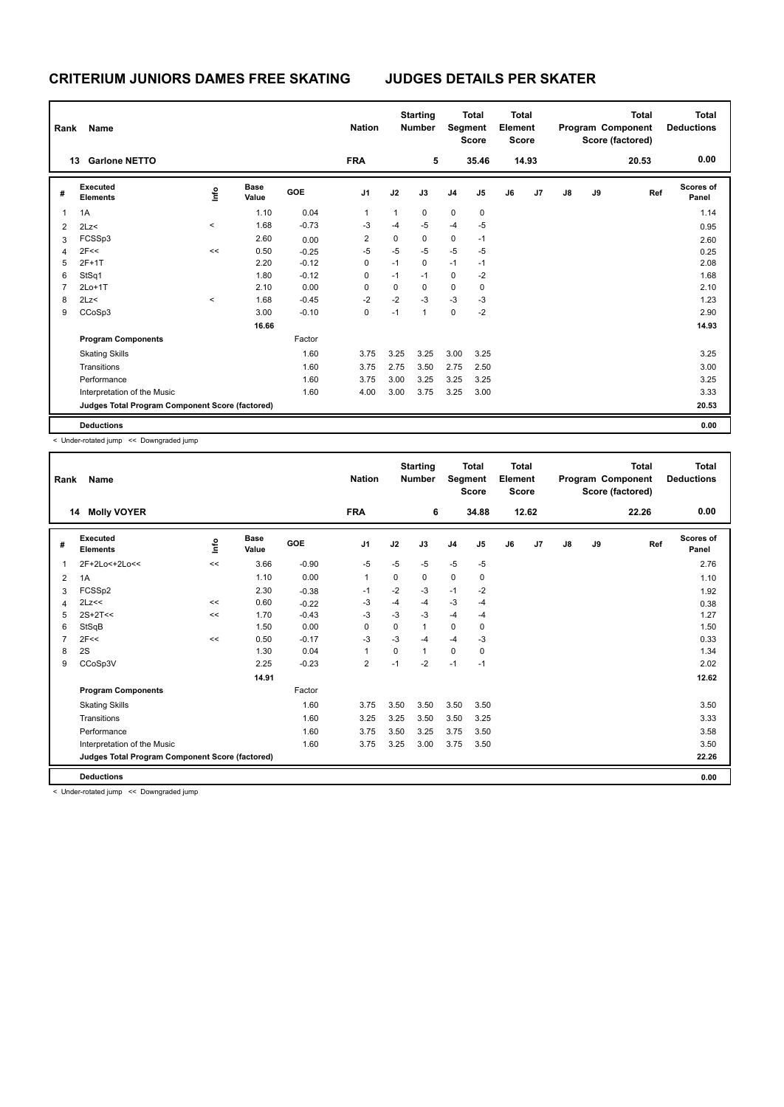| Rank | Name                                            |                     |                      |            | <b>Nation</b>  |              | <b>Starting</b><br><b>Number</b> |                | <b>Total</b><br>Segment<br><b>Score</b> | <b>Total</b><br>Element<br><b>Score</b> |       |    |    | <b>Total</b><br>Program Component<br>Score (factored) | <b>Total</b><br><b>Deductions</b> |
|------|-------------------------------------------------|---------------------|----------------------|------------|----------------|--------------|----------------------------------|----------------|-----------------------------------------|-----------------------------------------|-------|----|----|-------------------------------------------------------|-----------------------------------|
|      | <b>Garlone NETTO</b><br>13                      |                     |                      |            | <b>FRA</b>     |              | 5                                |                | 35.46                                   |                                         | 14.93 |    |    | 20.53                                                 | 0.00                              |
| #    | Executed<br><b>Elements</b>                     | ١nfo                | <b>Base</b><br>Value | <b>GOE</b> | J <sub>1</sub> | J2           | J3                               | J <sub>4</sub> | J5                                      | J6                                      | J7    | J8 | J9 | Ref                                                   | <b>Scores of</b><br>Panel         |
| 1    | 1A                                              |                     | 1.10                 | 0.04       | 1              | $\mathbf{1}$ | $\mathbf 0$                      | 0              | 0                                       |                                         |       |    |    |                                                       | 1.14                              |
| 2    | 2Lz                                             | $\hat{\phantom{a}}$ | 1.68                 | $-0.73$    | -3             | -4           | $-5$                             | $-4$           | $-5$                                    |                                         |       |    |    |                                                       | 0.95                              |
| 3    | FCSSp3                                          |                     | 2.60                 | 0.00       | 2              | 0            | 0                                | 0              | $-1$                                    |                                         |       |    |    |                                                       | 2.60                              |
| 4    | 2F<<                                            | <<                  | 0.50                 | $-0.25$    | $-5$           | $-5$         | $-5$                             | $-5$           | $-5$                                    |                                         |       |    |    |                                                       | 0.25                              |
| 5    | $2F+1T$                                         |                     | 2.20                 | $-0.12$    | 0              | $-1$         | 0                                | $-1$           | $-1$                                    |                                         |       |    |    |                                                       | 2.08                              |
| 6    | StSq1                                           |                     | 1.80                 | $-0.12$    | 0              | $-1$         | $-1$                             | 0              | $-2$                                    |                                         |       |    |    |                                                       | 1.68                              |
| 7    | $2Lo+1T$                                        |                     | 2.10                 | 0.00       | 0              | 0            | 0                                | $\mathbf 0$    | 0                                       |                                         |       |    |    |                                                       | 2.10                              |
| 8    | 2Lz                                             | $\hat{\phantom{a}}$ | 1.68                 | $-0.45$    | $-2$           | $-2$         | $-3$                             | $-3$           | $-3$                                    |                                         |       |    |    |                                                       | 1.23                              |
| 9    | CCoSp3                                          |                     | 3.00                 | $-0.10$    | 0              | $-1$         | $\mathbf{1}$                     | 0              | $-2$                                    |                                         |       |    |    |                                                       | 2.90                              |
|      |                                                 |                     | 16.66                |            |                |              |                                  |                |                                         |                                         |       |    |    |                                                       | 14.93                             |
|      | <b>Program Components</b>                       |                     |                      | Factor     |                |              |                                  |                |                                         |                                         |       |    |    |                                                       |                                   |
|      | <b>Skating Skills</b>                           |                     |                      | 1.60       | 3.75           | 3.25         | 3.25                             | 3.00           | 3.25                                    |                                         |       |    |    |                                                       | 3.25                              |
|      | Transitions                                     |                     |                      | 1.60       | 3.75           | 2.75         | 3.50                             | 2.75           | 2.50                                    |                                         |       |    |    |                                                       | 3.00                              |
|      | Performance                                     |                     |                      | 1.60       | 3.75           | 3.00         | 3.25                             | 3.25           | 3.25                                    |                                         |       |    |    |                                                       | 3.25                              |
|      | Interpretation of the Music                     |                     |                      | 1.60       | 4.00           | 3.00         | 3.75                             | 3.25           | 3.00                                    |                                         |       |    |    |                                                       | 3.33                              |
|      | Judges Total Program Component Score (factored) |                     |                      |            |                |              |                                  |                |                                         |                                         |       |    |    |                                                       | 20.53                             |
|      | <b>Deductions</b>                               |                     |                      |            |                |              |                                  |                |                                         |                                         |       |    |    |                                                       | 0.00                              |

< Under-rotated jump << Downgraded jump

| Rank | Name                                            |     |                      |            | <b>Nation</b>  |          | <b>Starting</b><br><b>Number</b> | Segment        | <b>Total</b><br><b>Score</b> | Total<br>Element<br><b>Score</b> |       |               |    | <b>Total</b><br>Program Component<br>Score (factored) | <b>Total</b><br><b>Deductions</b> |
|------|-------------------------------------------------|-----|----------------------|------------|----------------|----------|----------------------------------|----------------|------------------------------|----------------------------------|-------|---------------|----|-------------------------------------------------------|-----------------------------------|
| 14   | <b>Molly VOYER</b>                              |     |                      |            | <b>FRA</b>     |          | 6                                |                | 34.88                        |                                  | 12.62 |               |    | 22.26                                                 | 0.00                              |
| #    | Executed<br><b>Elements</b>                     | ١in | <b>Base</b><br>Value | <b>GOE</b> | J <sub>1</sub> | J2       | J3                               | J <sub>4</sub> | J5                           | J6                               | J7    | $\mathsf{J}8$ | J9 | Ref                                                   | <b>Scores of</b><br>Panel         |
| 1    | 2F+2Lo<+2Lo<<                                   | <<  | 3.66                 | $-0.90$    | $-5$           | $-5$     | $-5$                             | $-5$           | $-5$                         |                                  |       |               |    |                                                       | 2.76                              |
| 2    | 1A                                              |     | 1.10                 | 0.00       | 1              | 0        | 0                                | $\mathbf 0$    | 0                            |                                  |       |               |    |                                                       | 1.10                              |
| 3    | FCSSp2                                          |     | 2.30                 | $-0.38$    | $-1$           | $-2$     | -3                               | $-1$           | $-2$                         |                                  |       |               |    |                                                       | 1.92                              |
| 4    | 2Lz<<                                           | <<  | 0.60                 | $-0.22$    | -3             | $-4$     | $-4$                             | $-3$           | $-4$                         |                                  |       |               |    |                                                       | 0.38                              |
| 5    | $2S+2T<<$                                       | <<  | 1.70                 | $-0.43$    | $-3$           | $-3$     | $-3$                             | $-4$           | $-4$                         |                                  |       |               |    |                                                       | 1.27                              |
| 6    | StSqB                                           |     | 1.50                 | 0.00       | $\Omega$       | $\Omega$ | $\mathbf 1$                      | $\Omega$       | 0                            |                                  |       |               |    |                                                       | 1.50                              |
|      | 2F<<                                            | <<  | 0.50                 | $-0.17$    | $-3$           | $-3$     | $-4$                             | $-4$           | $-3$                         |                                  |       |               |    |                                                       | 0.33                              |
| 8    | 2S                                              |     | 1.30                 | 0.04       | 1              | $\Omega$ | 1                                | $\mathbf 0$    | 0                            |                                  |       |               |    |                                                       | 1.34                              |
| 9    | CCoSp3V                                         |     | 2.25                 | $-0.23$    | $\overline{2}$ | $-1$     | $-2$                             | $-1$           | $-1$                         |                                  |       |               |    |                                                       | 2.02                              |
|      |                                                 |     | 14.91                |            |                |          |                                  |                |                              |                                  |       |               |    |                                                       | 12.62                             |
|      | <b>Program Components</b>                       |     |                      | Factor     |                |          |                                  |                |                              |                                  |       |               |    |                                                       |                                   |
|      | <b>Skating Skills</b>                           |     |                      | 1.60       | 3.75           | 3.50     | 3.50                             | 3.50           | 3.50                         |                                  |       |               |    |                                                       | 3.50                              |
|      | Transitions                                     |     |                      | 1.60       | 3.25           | 3.25     | 3.50                             | 3.50           | 3.25                         |                                  |       |               |    |                                                       | 3.33                              |
|      | Performance                                     |     |                      | 1.60       | 3.75           | 3.50     | 3.25                             | 3.75           | 3.50                         |                                  |       |               |    |                                                       | 3.58                              |
|      | Interpretation of the Music                     |     |                      | 1.60       | 3.75           | 3.25     | 3.00                             | 3.75           | 3.50                         |                                  |       |               |    |                                                       | 3.50                              |
|      | Judges Total Program Component Score (factored) |     |                      |            |                |          |                                  |                |                              |                                  |       |               |    |                                                       | 22.26                             |
|      | <b>Deductions</b>                               |     |                      |            |                |          |                                  |                |                              |                                  |       |               |    |                                                       | 0.00                              |

< Under-rotated jump << Downgraded jump